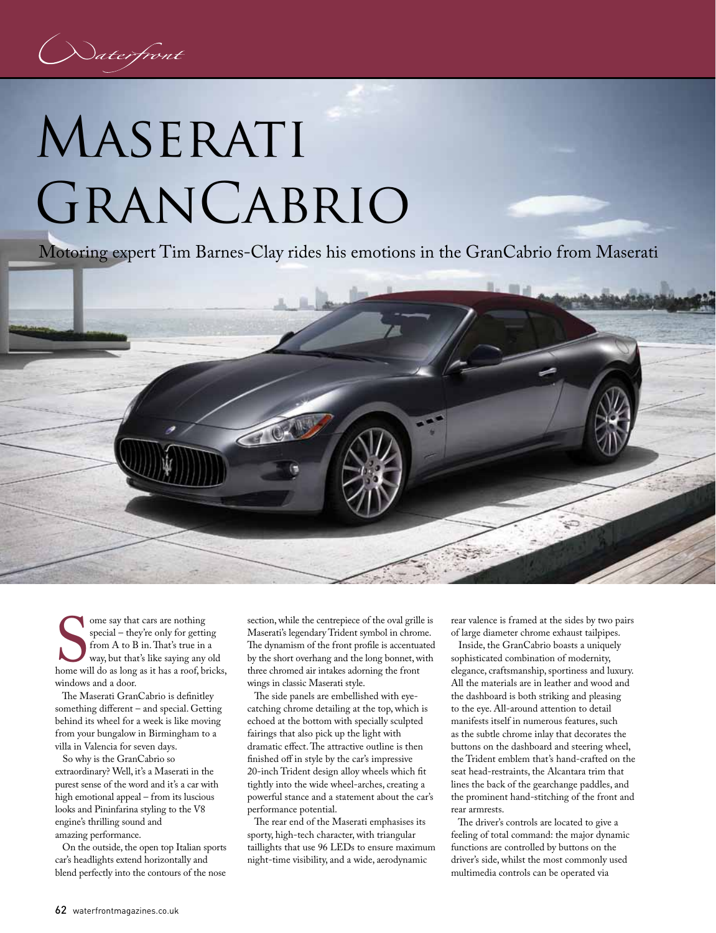## MASERATI GranCabrio

Motoring expert Tim Barnes-Clay rides his emotions in the GranCabrio from Maserati



home wi ome say that cars are nothing special – they're only for getting from A to B in. That's true in a way, but that's like saying any old home will do as long as it has a roof, bricks, windows and a door.

 The Maserati GranCabrio is definitley something different – and special. Getting behind its wheel for a week is like moving from your bungalow in Birmingham to a villa in Valencia for seven days.

 So why is the GranCabrio so extraordinary? Well, it's a Maserati in the purest sense of the word and it's a car with high emotional appeal – from its luscious looks and Pininfarina styling to the V8 engine's thrilling sound and amazing performance.

 On the outside, the open top Italian sports car's headlights extend horizontally and blend perfectly into the contours of the nose

section, while the centrepiece of the oval grille is Maserati's legendary Trident symbol in chrome. The dynamism of the front profile is accentuated by the short overhang and the long bonnet, with three chromed air intakes adorning the front wings in classic Maserati style.

 The side panels are embellished with eyecatching chrome detailing at the top, which is echoed at the bottom with specially sculpted fairings that also pick up the light with dramatic effect. The attractive outline is then finished off in style by the car's impressive 20-inch Trident design alloy wheels which fit tightly into the wide wheel-arches, creating a powerful stance and a statement about the car's performance potential.

 The rear end of the Maserati emphasises its sporty, high-tech character, with triangular taillights that use 96 LEDs to ensure maximum night-time visibility, and a wide, aerodynamic

rear valence is framed at the sides by two pairs of large diameter chrome exhaust tailpipes.

 Inside, the GranCabrio boasts a uniquely sophisticated combination of modernity, elegance, craftsmanship, sportiness and luxury. All the materials are in leather and wood and the dashboard is both striking and pleasing to the eye. All-around attention to detail manifests itself in numerous features, such as the subtle chrome inlay that decorates the buttons on the dashboard and steering wheel, the Trident emblem that's hand-crafted on the seat head-restraints, the Alcantara trim that lines the back of the gearchange paddles, and the prominent hand-stitching of the front and rear armrests.

 The driver's controls are located to give a feeling of total command: the major dynamic functions are controlled by buttons on the driver's side, whilst the most commonly used multimedia controls can be operated via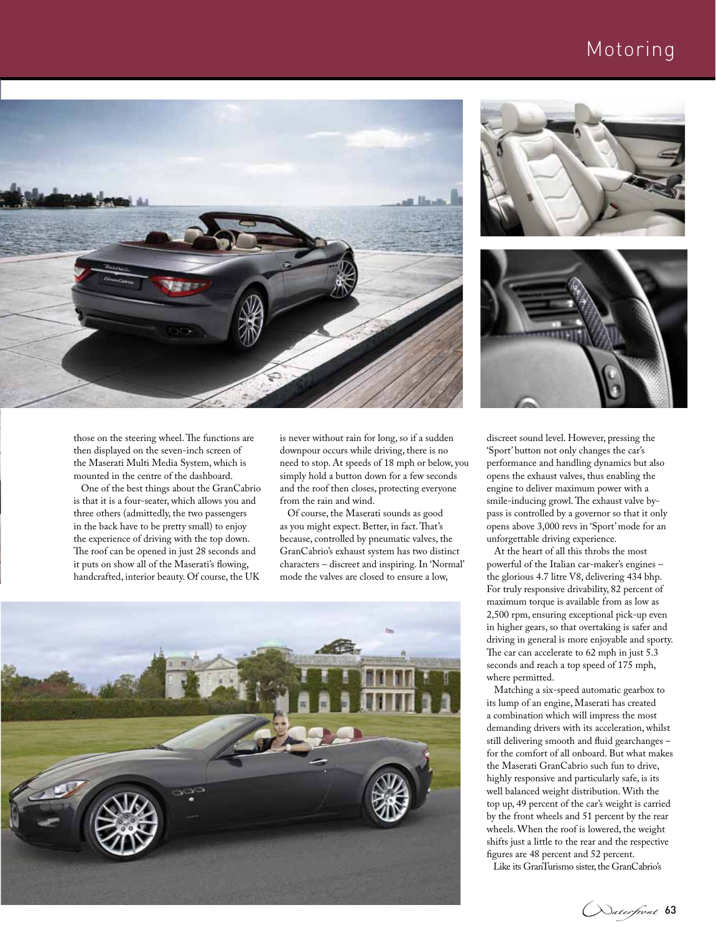## Motoring



those on the steering wheel. The functions are then displayed on the seven-inch screen of the Maserati Multi Media System, which is mounted in the centre of the dashboard.

 One of the best things about the GranCabrio is that it is a four-seater, which allows you and three others (admittedly, the two passengers in the back have to be pretty small) to enjoy the experience of driving with the top down. The roof can be opened in just 28 seconds and it puts on show all of the Maserati's flowing, handcrafted, interior beauty. Of course, the UK

is never without rain for long, so if a sudden downpour occurs while driving, there is no need to stop. At speeds of 18 mph or below, you simply hold a button down for a few seconds and the roof then closes, protecting everyone from the rain and wind.

 Of course, the Maserati sounds as good as you might expect. Better, in fact. That's because, controlled by pneumatic valves, the GranCabrio's exhaust system has two distinct characters – discreet and inspiring. In 'Normal' mode the valves are closed to ensure a low,







discreet sound level. However, pressing the 'Sport' button not only changes the car's performance and handling dynamics but also opens the exhaust valves, thus enabling the engine to deliver maximum power with a smile-inducing growl. The exhaust valve bypass is controlled by a governor so that it only opens above 3,000 revs in 'Sport' mode for an unforgettable driving experience.

 At the heart of all this throbs the most powerful of the Italian car-maker's engines – the glorious 4.7 litre V8, delivering 434 bhp. For truly responsive drivability, 82 percent of maximum torque is available from as low as 2,500 rpm, ensuring exceptional pick-up even in higher gears, so that overtaking is safer and driving in general is more enjoyable and sporty. The car can accelerate to 62 mph in just 5.3 seconds and reach a top speed of 175 mph, where permitted.

 Matching a six-speed automatic gearbox to its lump of an engine, Maserati has created a combination which will impress the most demanding drivers with its acceleration, whilst still delivering smooth and fluid gearchanges – for the comfort of all onboard. But what makes the Maserati GranCabrio such fun to drive, highly responsive and particularly safe, is its well balanced weight distribution. With the top up, 49 percent of the car's weight is carried by the front wheels and 51 percent by the rear wheels. When the roof is lowered, the weight shifts just a little to the rear and the respective figures are 48 percent and 52 percent.

Like its GranTurismo sister, the GranCabrio's